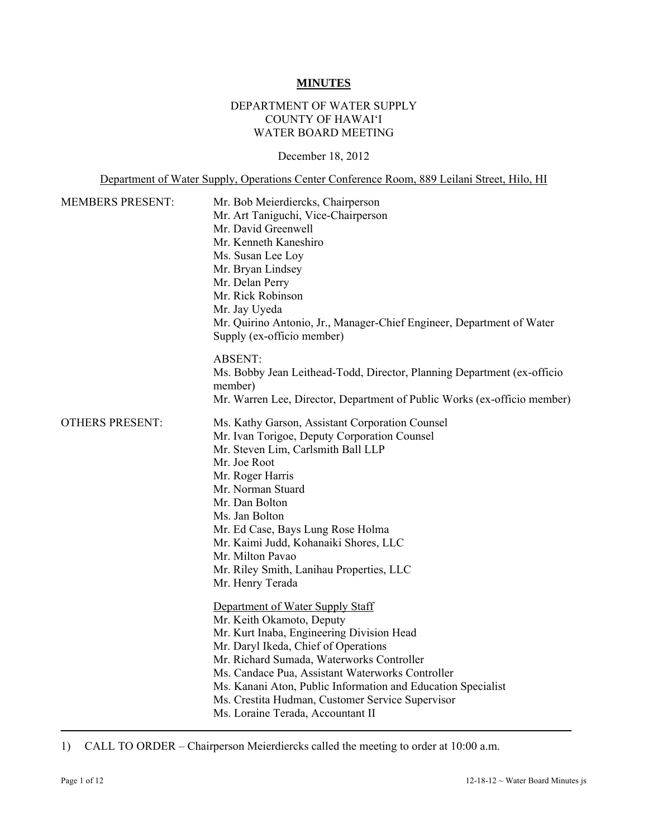#### **MINUTES**

## DEPARTMENT OF WATER SUPPLY COUNTY OF HAWAI'I WATER BOARD MEETING

#### December 18, 2012

Department of Water Supply, Operations Center Conference Room, 889 Leilani Street, Hilo, HI

| <b>MEMBERS PRESENT:</b> | Mr. Bob Meierdiercks, Chairperson<br>Mr. Art Taniguchi, Vice-Chairperson<br>Mr. David Greenwell<br>Mr. Kenneth Kaneshiro<br>Ms. Susan Lee Loy<br>Mr. Bryan Lindsey<br>Mr. Delan Perry<br>Mr. Rick Robinson<br>Mr. Jay Uyeda<br>Mr. Quirino Antonio, Jr., Manager-Chief Engineer, Department of Water<br>Supply (ex-officio member)                                                                           |  |
|-------------------------|--------------------------------------------------------------------------------------------------------------------------------------------------------------------------------------------------------------------------------------------------------------------------------------------------------------------------------------------------------------------------------------------------------------|--|
|                         | <b>ABSENT:</b><br>Ms. Bobby Jean Leithead-Todd, Director, Planning Department (ex-officio<br>member)<br>Mr. Warren Lee, Director, Department of Public Works (ex-officio member)                                                                                                                                                                                                                             |  |
| <b>OTHERS PRESENT:</b>  | Ms. Kathy Garson, Assistant Corporation Counsel<br>Mr. Ivan Torigoe, Deputy Corporation Counsel<br>Mr. Steven Lim, Carlsmith Ball LLP<br>Mr. Joe Root<br>Mr. Roger Harris<br>Mr. Norman Stuard<br>Mr. Dan Bolton<br>Ms. Jan Bolton<br>Mr. Ed Case, Bays Lung Rose Holma<br>Mr. Kaimi Judd, Kohanaiki Shores, LLC<br>Mr. Milton Pavao<br>Mr. Riley Smith, Lanihau Properties, LLC<br>Mr. Henry Terada         |  |
|                         | Department of Water Supply Staff<br>Mr. Keith Okamoto, Deputy<br>Mr. Kurt Inaba, Engineering Division Head<br>Mr. Daryl Ikeda, Chief of Operations<br>Mr. Richard Sumada, Waterworks Controller<br>Ms. Candace Pua, Assistant Waterworks Controller<br>Ms. Kanani Aton, Public Information and Education Specialist<br>Ms. Crestita Hudman, Customer Service Supervisor<br>Ms. Loraine Terada, Accountant II |  |

1) CALL TO ORDER – Chairperson Meierdiercks called the meeting to order at 10:00 a.m.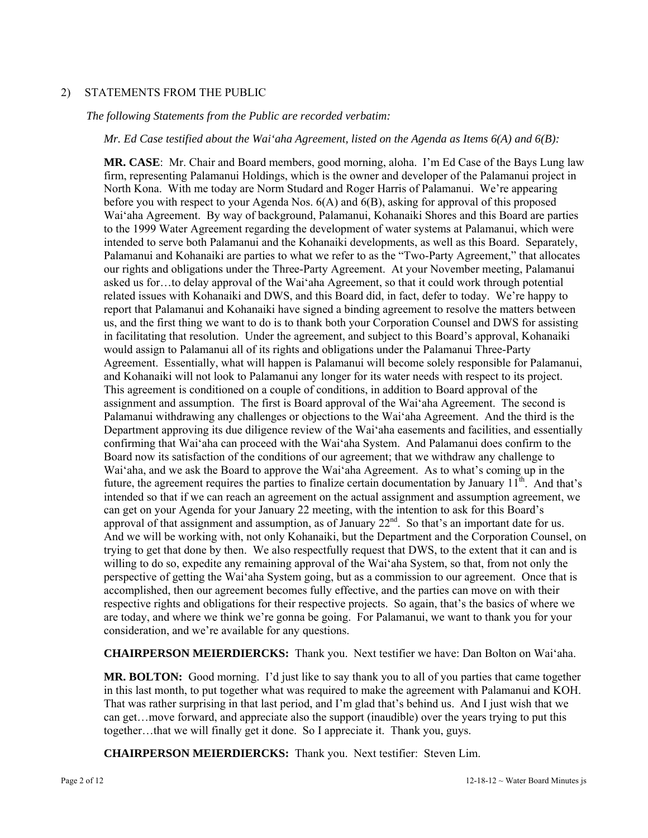## 2) STATEMENTS FROM THE PUBLIC

#### *The following Statements from the Public are recorded verbatim:*

*Mr. Ed Case testified about the Wai'aha Agreement, listed on the Agenda as Items 6(A) and 6(B):* 

**MR. CASE**: Mr. Chair and Board members, good morning, aloha. I'm Ed Case of the Bays Lung law firm, representing Palamanui Holdings, which is the owner and developer of the Palamanui project in North Kona. With me today are Norm Studard and Roger Harris of Palamanui. We're appearing before you with respect to your Agenda Nos.  $6(A)$  and  $6(B)$ , asking for approval of this proposed Wai'aha Agreement. By way of background, Palamanui, Kohanaiki Shores and this Board are parties to the 1999 Water Agreement regarding the development of water systems at Palamanui, which were intended to serve both Palamanui and the Kohanaiki developments, as well as this Board. Separately, Palamanui and Kohanaiki are parties to what we refer to as the "Two-Party Agreement," that allocates our rights and obligations under the Three-Party Agreement. At your November meeting, Palamanui asked us for…to delay approval of the Wai'aha Agreement, so that it could work through potential related issues with Kohanaiki and DWS, and this Board did, in fact, defer to today. We're happy to report that Palamanui and Kohanaiki have signed a binding agreement to resolve the matters between us, and the first thing we want to do is to thank both your Corporation Counsel and DWS for assisting in facilitating that resolution. Under the agreement, and subject to this Board's approval, Kohanaiki would assign to Palamanui all of its rights and obligations under the Palamanui Three-Party Agreement. Essentially, what will happen is Palamanui will become solely responsible for Palamanui, and Kohanaiki will not look to Palamanui any longer for its water needs with respect to its project. This agreement is conditioned on a couple of conditions, in addition to Board approval of the assignment and assumption. The first is Board approval of the Wai'aha Agreement. The second is Palamanui withdrawing any challenges or objections to the Wai'aha Agreement. And the third is the Department approving its due diligence review of the Wai'aha easements and facilities, and essentially confirming that Wai'aha can proceed with the Wai'aha System. And Palamanui does confirm to the Board now its satisfaction of the conditions of our agreement; that we withdraw any challenge to Wai'aha, and we ask the Board to approve the Wai'aha Agreement. As to what's coming up in the future, the agreement requires the parties to finalize certain documentation by January  $11<sup>th</sup>$ . And that's intended so that if we can reach an agreement on the actual assignment and assumption agreement, we can get on your Agenda for your January 22 meeting, with the intention to ask for this Board's approval of that assignment and assumption, as of January 22<sup>nd</sup>. So that's an important date for us. And we will be working with, not only Kohanaiki, but the Department and the Corporation Counsel, on trying to get that done by then. We also respectfully request that DWS, to the extent that it can and is willing to do so, expedite any remaining approval of the Wai'aha System, so that, from not only the perspective of getting the Wai'aha System going, but as a commission to our agreement. Once that is accomplished, then our agreement becomes fully effective, and the parties can move on with their respective rights and obligations for their respective projects. So again, that's the basics of where we are today, and where we think we're gonna be going. For Palamanui, we want to thank you for your consideration, and we're available for any questions.

**CHAIRPERSON MEIERDIERCKS:** Thank you. Next testifier we have: Dan Bolton on Wai'aha.

**MR. BOLTON:** Good morning. I'd just like to say thank you to all of you parties that came together in this last month, to put together what was required to make the agreement with Palamanui and KOH. That was rather surprising in that last period, and I'm glad that's behind us. And I just wish that we can get…move forward, and appreciate also the support (inaudible) over the years trying to put this together…that we will finally get it done. So I appreciate it. Thank you, guys.

**CHAIRPERSON MEIERDIERCKS:** Thank you. Next testifier: Steven Lim.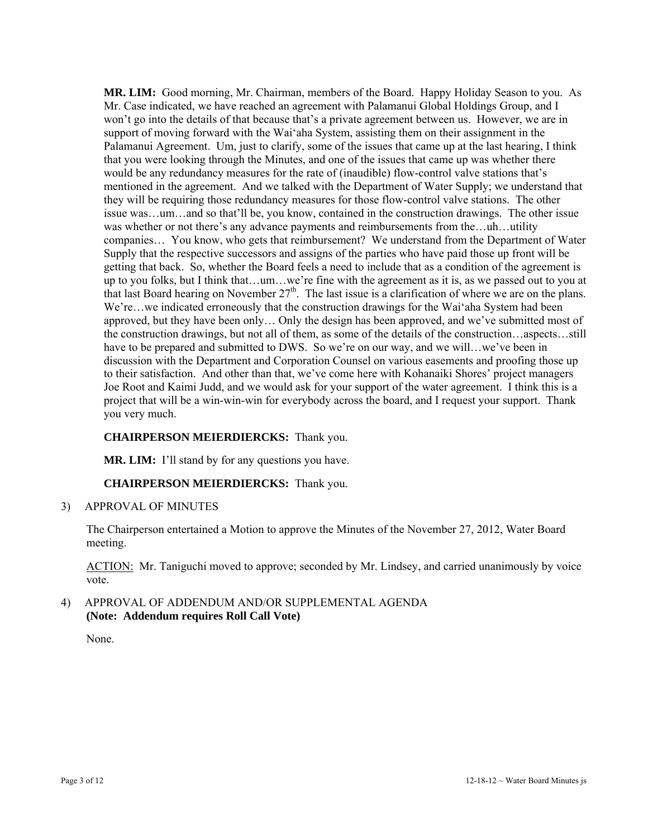**MR. LIM:** Good morning, Mr. Chairman, members of the Board. Happy Holiday Season to you. As Mr. Case indicated, we have reached an agreement with Palamanui Global Holdings Group, and I won't go into the details of that because that's a private agreement between us. However, we are in support of moving forward with the Wai'aha System, assisting them on their assignment in the Palamanui Agreement. Um, just to clarify, some of the issues that came up at the last hearing, I think that you were looking through the Minutes, and one of the issues that came up was whether there would be any redundancy measures for the rate of (inaudible) flow-control valve stations that's mentioned in the agreement. And we talked with the Department of Water Supply; we understand that they will be requiring those redundancy measures for those flow-control valve stations. The other issue was…um…and so that'll be, you know, contained in the construction drawings. The other issue was whether or not there's any advance payments and reimbursements from the…uh…utility companies… You know, who gets that reimbursement? We understand from the Department of Water Supply that the respective successors and assigns of the parties who have paid those up front will be getting that back. So, whether the Board feels a need to include that as a condition of the agreement is up to you folks, but I think that…um…we're fine with the agreement as it is, as we passed out to you at that last Board hearing on November 27<sup>th</sup>. The last issue is a clarification of where we are on the plans. We're…we indicated erroneously that the construction drawings for the Wai'aha System had been approved, but they have been only… Only the design has been approved, and we've submitted most of the construction drawings, but not all of them, as some of the details of the construction…aspects…still have to be prepared and submitted to DWS. So we're on our way, and we will...we've been in discussion with the Department and Corporation Counsel on various easements and proofing those up to their satisfaction. And other than that, we've come here with Kohanaiki Shores' project managers Joe Root and Kaimi Judd, and we would ask for your support of the water agreement. I think this is a project that will be a win-win-win for everybody across the board, and I request your support. Thank you very much.

## **CHAIRPERSON MEIERDIERCKS:** Thank you.

**MR. LIM:** I'll stand by for any questions you have.

## **CHAIRPERSON MEIERDIERCKS:** Thank you.

3) APPROVAL OF MINUTES

The Chairperson entertained a Motion to approve the Minutes of the November 27, 2012, Water Board meeting.

ACTION: Mr. Taniguchi moved to approve; seconded by Mr. Lindsey, and carried unanimously by voice vote.

4) APPROVAL OF ADDENDUM AND/OR SUPPLEMENTAL AGENDA **(Note: Addendum requires Roll Call Vote)** 

None.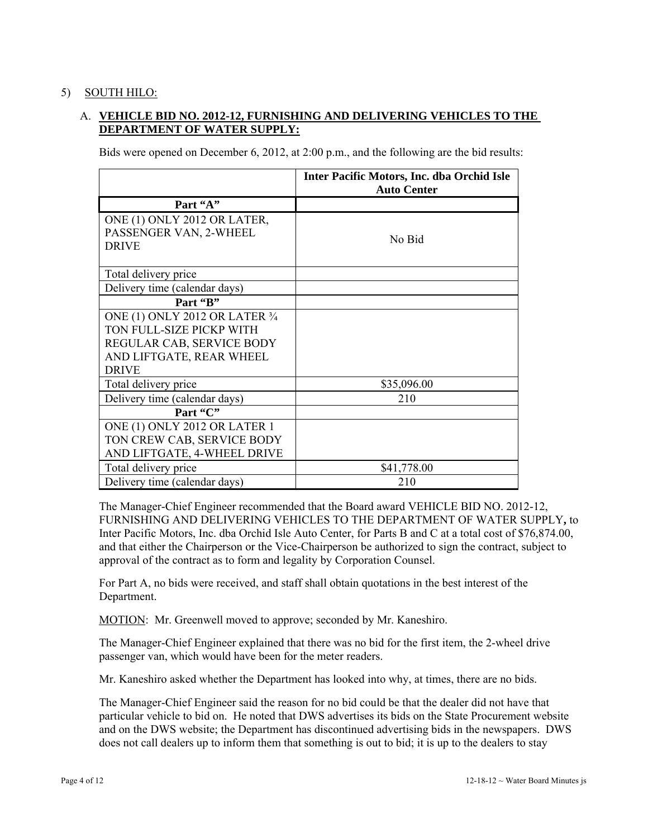## 5) SOUTH HILO:

# A. **VEHICLE BID NO. 2012-12, FURNISHING AND DELIVERING VEHICLES TO THE DEPARTMENT OF WATER SUPPLY:**

Bids were opened on December 6, 2012, at 2:00 p.m., and the following are the bid results:

|                                                                                                                                     | <b>Inter Pacific Motors, Inc. dba Orchid Isle</b><br><b>Auto Center</b> |
|-------------------------------------------------------------------------------------------------------------------------------------|-------------------------------------------------------------------------|
| Part "A"                                                                                                                            |                                                                         |
| ONE (1) ONLY 2012 OR LATER,<br>PASSENGER VAN, 2-WHEEL<br><b>DRIVE</b>                                                               | No Bid                                                                  |
| Total delivery price                                                                                                                |                                                                         |
| Delivery time (calendar days)                                                                                                       |                                                                         |
| Part "B"                                                                                                                            |                                                                         |
| ONE (1) ONLY 2012 OR LATER 3/4<br>TON FULL-SIZE PICKP WITH<br>REGULAR CAB, SERVICE BODY<br>AND LIFTGATE, REAR WHEEL<br><b>DRIVE</b> |                                                                         |
| Total delivery price                                                                                                                | \$35,096.00                                                             |
| Delivery time (calendar days)<br>Part "C"                                                                                           | 210                                                                     |
| ONE (1) ONLY 2012 OR LATER 1<br>TON CREW CAB, SERVICE BODY<br>AND LIFTGATE, 4-WHEEL DRIVE                                           |                                                                         |
| Total delivery price                                                                                                                | \$41,778.00                                                             |
| Delivery time (calendar days)                                                                                                       | 210                                                                     |

The Manager-Chief Engineer recommended that the Board award VEHICLE BID NO. 2012-12, FURNISHING AND DELIVERING VEHICLES TO THE DEPARTMENT OF WATER SUPPLY**,** to Inter Pacific Motors, Inc. dba Orchid Isle Auto Center, for Parts B and C at a total cost of \$76,874.00, and that either the Chairperson or the Vice-Chairperson be authorized to sign the contract, subject to approval of the contract as to form and legality by Corporation Counsel.

For Part A, no bids were received, and staff shall obtain quotations in the best interest of the Department.

MOTION: Mr. Greenwell moved to approve; seconded by Mr. Kaneshiro.

The Manager-Chief Engineer explained that there was no bid for the first item, the 2-wheel drive passenger van, which would have been for the meter readers.

Mr. Kaneshiro asked whether the Department has looked into why, at times, there are no bids.

The Manager-Chief Engineer said the reason for no bid could be that the dealer did not have that particular vehicle to bid on. He noted that DWS advertises its bids on the State Procurement website and on the DWS website; the Department has discontinued advertising bids in the newspapers. DWS does not call dealers up to inform them that something is out to bid; it is up to the dealers to stay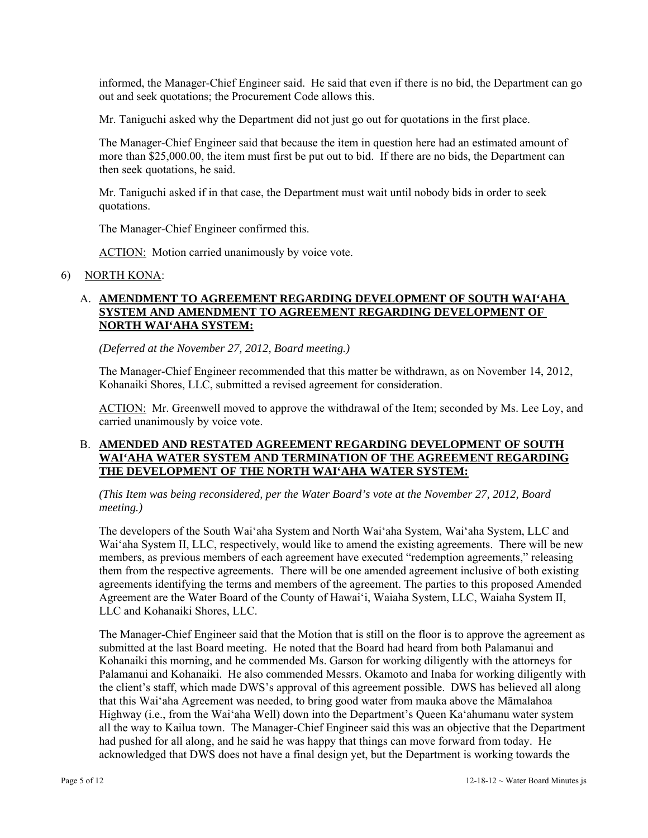informed, the Manager-Chief Engineer said. He said that even if there is no bid, the Department can go out and seek quotations; the Procurement Code allows this.

Mr. Taniguchi asked why the Department did not just go out for quotations in the first place.

The Manager-Chief Engineer said that because the item in question here had an estimated amount of more than \$25,000.00, the item must first be put out to bid. If there are no bids, the Department can then seek quotations, he said.

Mr. Taniguchi asked if in that case, the Department must wait until nobody bids in order to seek quotations.

The Manager-Chief Engineer confirmed this.

ACTION: Motion carried unanimously by voice vote.

#### 6) NORTH KONA:

## A. **AMENDMENT TO AGREEMENT REGARDING DEVELOPMENT OF SOUTH WAI'AHA SYSTEM AND AMENDMENT TO AGREEMENT REGARDING DEVELOPMENT OF NORTH WAI'AHA SYSTEM:**

*(Deferred at the November 27, 2012, Board meeting.)* 

The Manager-Chief Engineer recommended that this matter be withdrawn, as on November 14, 2012, Kohanaiki Shores, LLC, submitted a revised agreement for consideration.

ACTION: Mr. Greenwell moved to approve the withdrawal of the Item; seconded by Ms. Lee Loy, and carried unanimously by voice vote.

## B. **AMENDED AND RESTATED AGREEMENT REGARDING DEVELOPMENT OF SOUTH WAI'AHA WATER SYSTEM AND TERMINATION OF THE AGREEMENT REGARDING THE DEVELOPMENT OF THE NORTH WAI'AHA WATER SYSTEM:**

*(This Item was being reconsidered, per the Water Board's vote at the November 27, 2012, Board meeting.)* 

The developers of the South Wai'aha System and North Wai'aha System, Wai'aha System, LLC and Wai'aha System II, LLC, respectively, would like to amend the existing agreements. There will be new members, as previous members of each agreement have executed "redemption agreements," releasing them from the respective agreements. There will be one amended agreement inclusive of both existing agreements identifying the terms and members of the agreement. The parties to this proposed Amended Agreement are the Water Board of the County of Hawai'i, Waiaha System, LLC, Waiaha System II, LLC and Kohanaiki Shores, LLC.

The Manager-Chief Engineer said that the Motion that is still on the floor is to approve the agreement as submitted at the last Board meeting. He noted that the Board had heard from both Palamanui and Kohanaiki this morning, and he commended Ms. Garson for working diligently with the attorneys for Palamanui and Kohanaiki. He also commended Messrs. Okamoto and Inaba for working diligently with the client's staff, which made DWS's approval of this agreement possible. DWS has believed all along that this Wai'aha Agreement was needed, to bring good water from mauka above the Māmalahoa Highway (i.e., from the Wai'aha Well) down into the Department's Queen Ka'ahumanu water system all the way to Kailua town. The Manager-Chief Engineer said this was an objective that the Department had pushed for all along, and he said he was happy that things can move forward from today. He acknowledged that DWS does not have a final design yet, but the Department is working towards the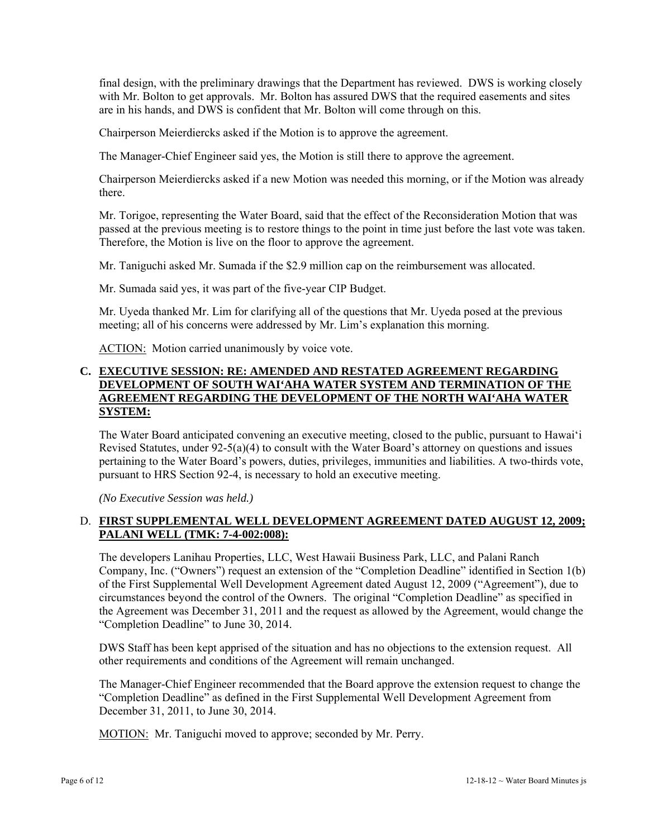final design, with the preliminary drawings that the Department has reviewed. DWS is working closely with Mr. Bolton to get approvals. Mr. Bolton has assured DWS that the required easements and sites are in his hands, and DWS is confident that Mr. Bolton will come through on this.

Chairperson Meierdiercks asked if the Motion is to approve the agreement.

The Manager-Chief Engineer said yes, the Motion is still there to approve the agreement.

Chairperson Meierdiercks asked if a new Motion was needed this morning, or if the Motion was already there.

Mr. Torigoe, representing the Water Board, said that the effect of the Reconsideration Motion that was passed at the previous meeting is to restore things to the point in time just before the last vote was taken. Therefore, the Motion is live on the floor to approve the agreement.

Mr. Taniguchi asked Mr. Sumada if the \$2.9 million cap on the reimbursement was allocated.

Mr. Sumada said yes, it was part of the five-year CIP Budget.

Mr. Uyeda thanked Mr. Lim for clarifying all of the questions that Mr. Uyeda posed at the previous meeting; all of his concerns were addressed by Mr. Lim's explanation this morning.

ACTION: Motion carried unanimously by voice vote.

#### **C. EXECUTIVE SESSION: RE: AMENDED AND RESTATED AGREEMENT REGARDING DEVELOPMENT OF SOUTH WAI'AHA WATER SYSTEM AND TERMINATION OF THE AGREEMENT REGARDING THE DEVELOPMENT OF THE NORTH WAI'AHA WATER SYSTEM:**

The Water Board anticipated convening an executive meeting, closed to the public, pursuant to Hawai'i Revised Statutes, under 92-5(a)(4) to consult with the Water Board's attorney on questions and issues pertaining to the Water Board's powers, duties, privileges, immunities and liabilities. A two-thirds vote, pursuant to HRS Section 92-4, is necessary to hold an executive meeting.

*(No Executive Session was held.)* 

## D. **FIRST SUPPLEMENTAL WELL DEVELOPMENT AGREEMENT DATED AUGUST 12, 2009; PALANI WELL (TMK: 7-4-002:008):**

The developers Lanihau Properties, LLC, West Hawaii Business Park, LLC, and Palani Ranch Company, Inc. ("Owners") request an extension of the "Completion Deadline" identified in Section 1(b) of the First Supplemental Well Development Agreement dated August 12, 2009 ("Agreement"), due to circumstances beyond the control of the Owners. The original "Completion Deadline" as specified in the Agreement was December 31, 2011 and the request as allowed by the Agreement, would change the "Completion Deadline" to June 30, 2014.

DWS Staff has been kept apprised of the situation and has no objections to the extension request. All other requirements and conditions of the Agreement will remain unchanged.

The Manager-Chief Engineer recommended that the Board approve the extension request to change the "Completion Deadline" as defined in the First Supplemental Well Development Agreement from December 31, 2011, to June 30, 2014.

MOTION: Mr. Taniguchi moved to approve; seconded by Mr. Perry.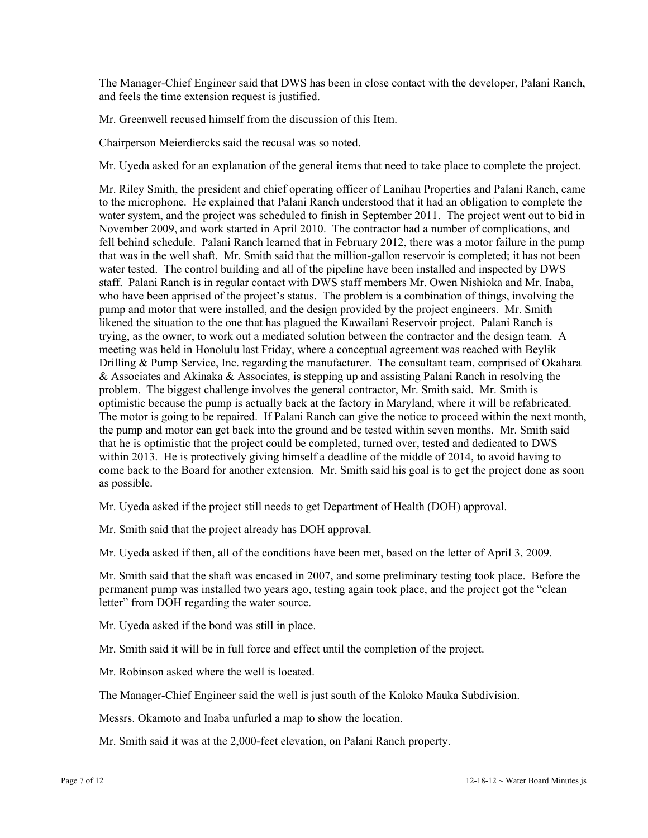The Manager-Chief Engineer said that DWS has been in close contact with the developer, Palani Ranch, and feels the time extension request is justified.

Mr. Greenwell recused himself from the discussion of this Item.

Chairperson Meierdiercks said the recusal was so noted.

Mr. Uyeda asked for an explanation of the general items that need to take place to complete the project.

Mr. Riley Smith, the president and chief operating officer of Lanihau Properties and Palani Ranch, came to the microphone. He explained that Palani Ranch understood that it had an obligation to complete the water system, and the project was scheduled to finish in September 2011. The project went out to bid in November 2009, and work started in April 2010. The contractor had a number of complications, and fell behind schedule. Palani Ranch learned that in February 2012, there was a motor failure in the pump that was in the well shaft. Mr. Smith said that the million-gallon reservoir is completed; it has not been water tested. The control building and all of the pipeline have been installed and inspected by DWS staff. Palani Ranch is in regular contact with DWS staff members Mr. Owen Nishioka and Mr. Inaba, who have been apprised of the project's status. The problem is a combination of things, involving the pump and motor that were installed, and the design provided by the project engineers. Mr. Smith likened the situation to the one that has plagued the Kawailani Reservoir project. Palani Ranch is trying, as the owner, to work out a mediated solution between the contractor and the design team. A meeting was held in Honolulu last Friday, where a conceptual agreement was reached with Beylik Drilling & Pump Service, Inc. regarding the manufacturer. The consultant team, comprised of Okahara & Associates and Akinaka & Associates, is stepping up and assisting Palani Ranch in resolving the problem. The biggest challenge involves the general contractor, Mr. Smith said. Mr. Smith is optimistic because the pump is actually back at the factory in Maryland, where it will be refabricated. The motor is going to be repaired. If Palani Ranch can give the notice to proceed within the next month, the pump and motor can get back into the ground and be tested within seven months. Mr. Smith said that he is optimistic that the project could be completed, turned over, tested and dedicated to DWS within 2013. He is protectively giving himself a deadline of the middle of 2014, to avoid having to come back to the Board for another extension. Mr. Smith said his goal is to get the project done as soon as possible.

Mr. Uyeda asked if the project still needs to get Department of Health (DOH) approval.

Mr. Smith said that the project already has DOH approval.

Mr. Uyeda asked if then, all of the conditions have been met, based on the letter of April 3, 2009.

Mr. Smith said that the shaft was encased in 2007, and some preliminary testing took place. Before the permanent pump was installed two years ago, testing again took place, and the project got the "clean letter" from DOH regarding the water source.

Mr. Uyeda asked if the bond was still in place.

Mr. Smith said it will be in full force and effect until the completion of the project.

Mr. Robinson asked where the well is located.

The Manager-Chief Engineer said the well is just south of the Kaloko Mauka Subdivision.

Messrs. Okamoto and Inaba unfurled a map to show the location.

Mr. Smith said it was at the 2,000-feet elevation, on Palani Ranch property.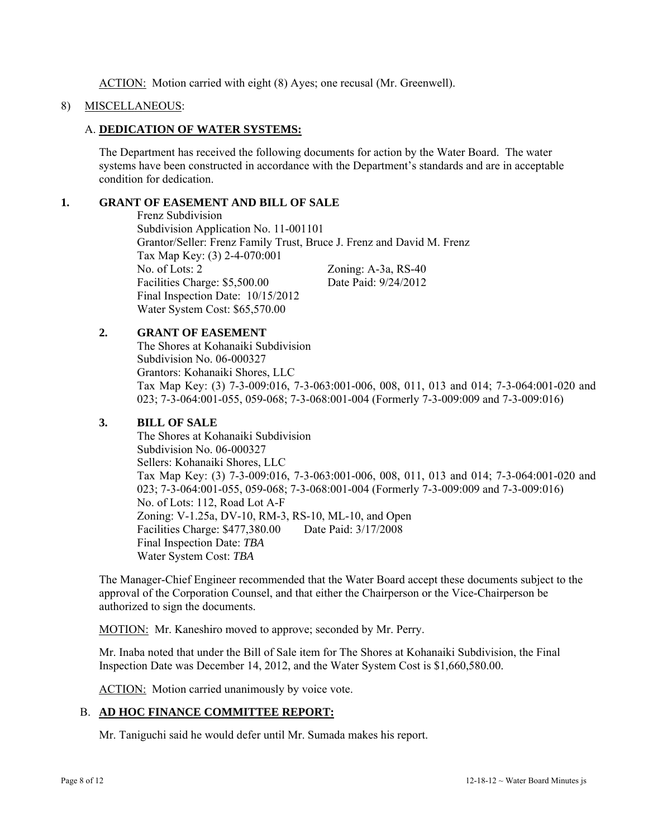ACTION: Motion carried with eight (8) Ayes; one recusal (Mr. Greenwell).

#### 8) MISCELLANEOUS:

#### A. **DEDICATION OF WATER SYSTEMS:**

The Department has received the following documents for action by the Water Board. The water systems have been constructed in accordance with the Department's standards and are in acceptable condition for dedication.

## **1. GRANT OF EASEMENT AND BILL OF SALE**

 Frenz Subdivision Subdivision Application No. 11-001101 Grantor/Seller: Frenz Family Trust, Bruce J. Frenz and David M. Frenz Tax Map Key: (3) 2-4-070:001 No. of Lots: 2 Zoning: A-3a, RS-40 Facilities Charge: \$5,500.00 Date Paid: 9/24/2012 Final Inspection Date: 10/15/2012 Water System Cost: \$65,570.00

## **2. GRANT OF EASEMENT**

 The Shores at Kohanaiki Subdivision Subdivision No. 06-000327 Grantors: Kohanaiki Shores, LLC Tax Map Key: (3) 7-3-009:016, 7-3-063:001-006, 008, 011, 013 and 014; 7-3-064:001-020 and 023; 7-3-064:001-055, 059-068; 7-3-068:001-004 (Formerly 7-3-009:009 and 7-3-009:016)

## **3. BILL OF SALE**

 The Shores at Kohanaiki Subdivision Subdivision No. 06-000327 Sellers: Kohanaiki Shores, LLC Tax Map Key: (3) 7-3-009:016, 7-3-063:001-006, 008, 011, 013 and 014; 7-3-064:001-020 and 023; 7-3-064:001-055, 059-068; 7-3-068:001-004 (Formerly 7-3-009:009 and 7-3-009:016) No. of Lots: 112, Road Lot A-F Zoning: V-1.25a, DV-10, RM-3, RS-10, ML-10, and Open Facilities Charge: \$477,380.00 Date Paid: 3/17/2008 Final Inspection Date: *TBA* Water System Cost: *TBA*

The Manager-Chief Engineer recommended that the Water Board accept these documents subject to the approval of the Corporation Counsel, and that either the Chairperson or the Vice-Chairperson be authorized to sign the documents.

MOTION: Mr. Kaneshiro moved to approve; seconded by Mr. Perry.

Mr. Inaba noted that under the Bill of Sale item for The Shores at Kohanaiki Subdivision, the Final Inspection Date was December 14, 2012, and the Water System Cost is \$1,660,580.00.

ACTION: Motion carried unanimously by voice vote.

## B. **AD HOC FINANCE COMMITTEE REPORT:**

Mr. Taniguchi said he would defer until Mr. Sumada makes his report.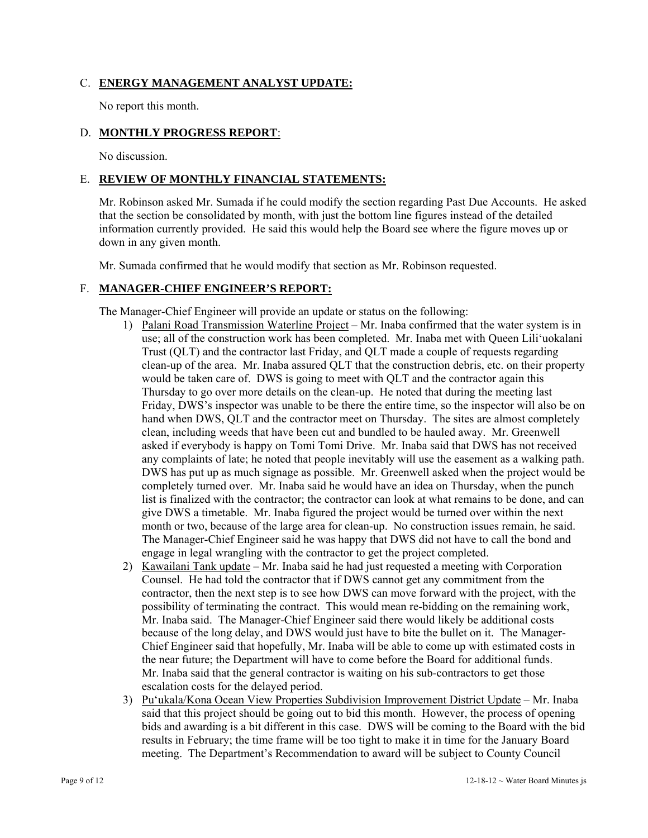## C. **ENERGY MANAGEMENT ANALYST UPDATE:**

No report this month.

## D. **MONTHLY PROGRESS REPORT**:

No discussion.

#### E. **REVIEW OF MONTHLY FINANCIAL STATEMENTS:**

Mr. Robinson asked Mr. Sumada if he could modify the section regarding Past Due Accounts. He asked that the section be consolidated by month, with just the bottom line figures instead of the detailed information currently provided. He said this would help the Board see where the figure moves up or down in any given month.

Mr. Sumada confirmed that he would modify that section as Mr. Robinson requested.

## F. **MANAGER-CHIEF ENGINEER'S REPORT:**

The Manager-Chief Engineer will provide an update or status on the following:

- 1) Palani Road Transmission Waterline Project Mr. Inaba confirmed that the water system is in use; all of the construction work has been completed. Mr. Inaba met with Queen Lili'uokalani Trust (QLT) and the contractor last Friday, and QLT made a couple of requests regarding clean-up of the area. Mr. Inaba assured QLT that the construction debris, etc. on their property would be taken care of. DWS is going to meet with QLT and the contractor again this Thursday to go over more details on the clean-up. He noted that during the meeting last Friday, DWS's inspector was unable to be there the entire time, so the inspector will also be on hand when DWS, QLT and the contractor meet on Thursday. The sites are almost completely clean, including weeds that have been cut and bundled to be hauled away. Mr. Greenwell asked if everybody is happy on Tomi Tomi Drive. Mr. Inaba said that DWS has not received any complaints of late; he noted that people inevitably will use the easement as a walking path. DWS has put up as much signage as possible. Mr. Greenwell asked when the project would be completely turned over. Mr. Inaba said he would have an idea on Thursday, when the punch list is finalized with the contractor; the contractor can look at what remains to be done, and can give DWS a timetable. Mr. Inaba figured the project would be turned over within the next month or two, because of the large area for clean-up. No construction issues remain, he said. The Manager-Chief Engineer said he was happy that DWS did not have to call the bond and engage in legal wrangling with the contractor to get the project completed.
- 2) Kawailani Tank update Mr. Inaba said he had just requested a meeting with Corporation Counsel. He had told the contractor that if DWS cannot get any commitment from the contractor, then the next step is to see how DWS can move forward with the project, with the possibility of terminating the contract. This would mean re-bidding on the remaining work, Mr. Inaba said. The Manager-Chief Engineer said there would likely be additional costs because of the long delay, and DWS would just have to bite the bullet on it. The Manager-Chief Engineer said that hopefully, Mr. Inaba will be able to come up with estimated costs in the near future; the Department will have to come before the Board for additional funds. Mr. Inaba said that the general contractor is waiting on his sub-contractors to get those escalation costs for the delayed period.
- 3) Pu'ukala/Kona Ocean View Properties Subdivision Improvement District Update Mr. Inaba said that this project should be going out to bid this month. However, the process of opening bids and awarding is a bit different in this case. DWS will be coming to the Board with the bid results in February; the time frame will be too tight to make it in time for the January Board meeting. The Department's Recommendation to award will be subject to County Council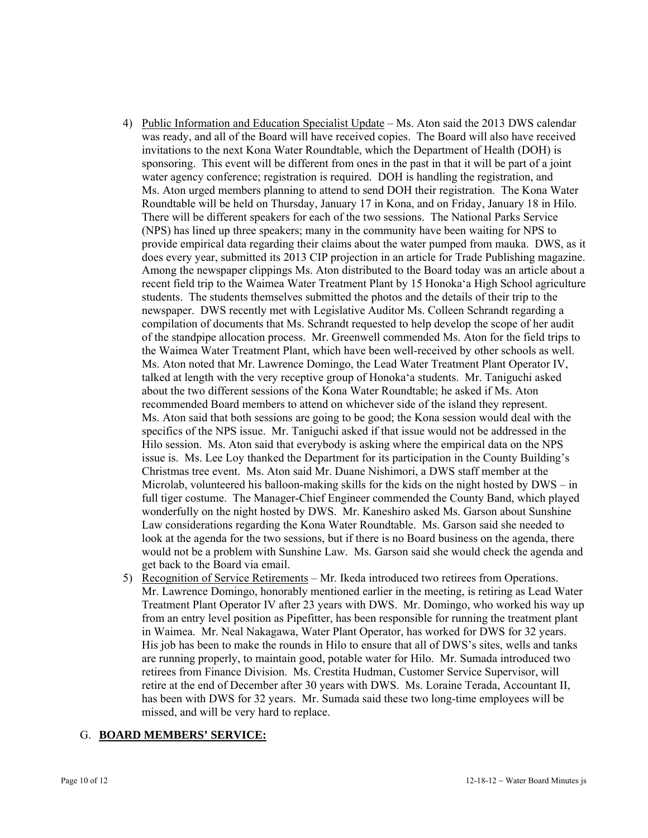- 4) Public Information and Education Specialist Update Ms. Aton said the 2013 DWS calendar was ready, and all of the Board will have received copies. The Board will also have received invitations to the next Kona Water Roundtable, which the Department of Health (DOH) is sponsoring. This event will be different from ones in the past in that it will be part of a joint water agency conference; registration is required. DOH is handling the registration, and Ms. Aton urged members planning to attend to send DOH their registration. The Kona Water Roundtable will be held on Thursday, January 17 in Kona, and on Friday, January 18 in Hilo. There will be different speakers for each of the two sessions. The National Parks Service (NPS) has lined up three speakers; many in the community have been waiting for NPS to provide empirical data regarding their claims about the water pumped from mauka. DWS, as it does every year, submitted its 2013 CIP projection in an article for Trade Publishing magazine. Among the newspaper clippings Ms. Aton distributed to the Board today was an article about a recent field trip to the Waimea Water Treatment Plant by 15 Honoka'a High School agriculture students. The students themselves submitted the photos and the details of their trip to the newspaper. DWS recently met with Legislative Auditor Ms. Colleen Schrandt regarding a compilation of documents that Ms. Schrandt requested to help develop the scope of her audit of the standpipe allocation process. Mr. Greenwell commended Ms. Aton for the field trips to the Waimea Water Treatment Plant, which have been well-received by other schools as well. Ms. Aton noted that Mr. Lawrence Domingo, the Lead Water Treatment Plant Operator IV, talked at length with the very receptive group of Honoka'a students. Mr. Taniguchi asked about the two different sessions of the Kona Water Roundtable; he asked if Ms. Aton recommended Board members to attend on whichever side of the island they represent. Ms. Aton said that both sessions are going to be good; the Kona session would deal with the specifics of the NPS issue. Mr. Taniguchi asked if that issue would not be addressed in the Hilo session. Ms. Aton said that everybody is asking where the empirical data on the NPS issue is. Ms. Lee Loy thanked the Department for its participation in the County Building's Christmas tree event. Ms. Aton said Mr. Duane Nishimori, a DWS staff member at the Microlab, volunteered his balloon-making skills for the kids on the night hosted by  $DWS - in$ full tiger costume. The Manager-Chief Engineer commended the County Band, which played wonderfully on the night hosted by DWS. Mr. Kaneshiro asked Ms. Garson about Sunshine Law considerations regarding the Kona Water Roundtable. Ms. Garson said she needed to look at the agenda for the two sessions, but if there is no Board business on the agenda, there would not be a problem with Sunshine Law. Ms. Garson said she would check the agenda and get back to the Board via email.
- 5) Recognition of Service Retirements Mr. Ikeda introduced two retirees from Operations. Mr. Lawrence Domingo, honorably mentioned earlier in the meeting, is retiring as Lead Water Treatment Plant Operator IV after 23 years with DWS. Mr. Domingo, who worked his way up from an entry level position as Pipefitter, has been responsible for running the treatment plant in Waimea. Mr. Neal Nakagawa, Water Plant Operator, has worked for DWS for 32 years. His job has been to make the rounds in Hilo to ensure that all of DWS's sites, wells and tanks are running properly, to maintain good, potable water for Hilo. Mr. Sumada introduced two retirees from Finance Division. Ms. Crestita Hudman, Customer Service Supervisor, will retire at the end of December after 30 years with DWS. Ms. Loraine Terada, Accountant II, has been with DWS for 32 years. Mr. Sumada said these two long-time employees will be missed, and will be very hard to replace.

#### G. **BOARD MEMBERS' SERVICE:**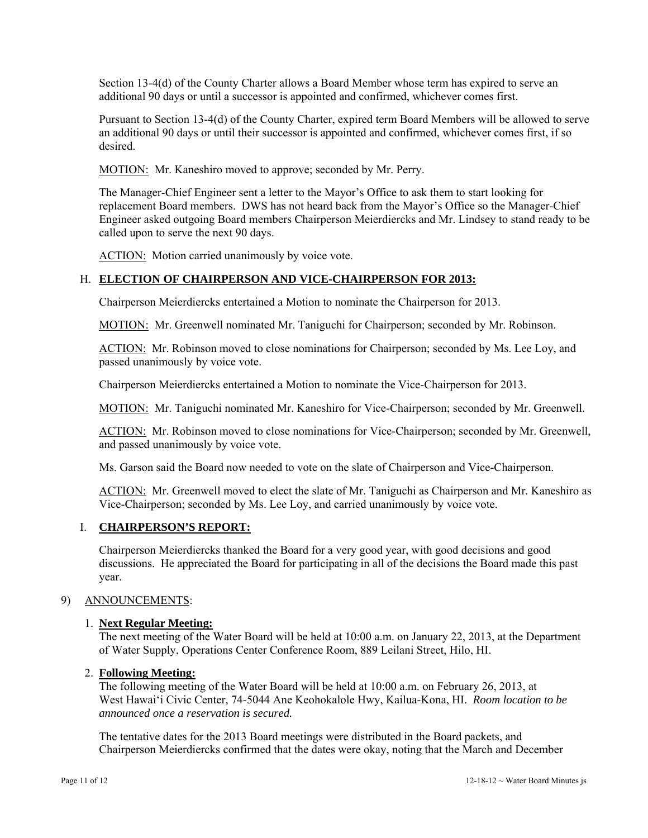Section 13-4(d) of the County Charter allows a Board Member whose term has expired to serve an additional 90 days or until a successor is appointed and confirmed, whichever comes first.

Pursuant to Section 13-4(d) of the County Charter, expired term Board Members will be allowed to serve an additional 90 days or until their successor is appointed and confirmed, whichever comes first, if so desired.

MOTION: Mr. Kaneshiro moved to approve; seconded by Mr. Perry.

The Manager-Chief Engineer sent a letter to the Mayor's Office to ask them to start looking for replacement Board members. DWS has not heard back from the Mayor's Office so the Manager-Chief Engineer asked outgoing Board members Chairperson Meierdiercks and Mr. Lindsey to stand ready to be called upon to serve the next 90 days.

ACTION: Motion carried unanimously by voice vote.

# H. **ELECTION OF CHAIRPERSON AND VICE-CHAIRPERSON FOR 2013:**

Chairperson Meierdiercks entertained a Motion to nominate the Chairperson for 2013.

MOTION: Mr. Greenwell nominated Mr. Taniguchi for Chairperson; seconded by Mr. Robinson.

ACTION: Mr. Robinson moved to close nominations for Chairperson; seconded by Ms. Lee Loy, and passed unanimously by voice vote.

Chairperson Meierdiercks entertained a Motion to nominate the Vice-Chairperson for 2013.

MOTION: Mr. Taniguchi nominated Mr. Kaneshiro for Vice-Chairperson; seconded by Mr. Greenwell.

ACTION: Mr. Robinson moved to close nominations for Vice-Chairperson; seconded by Mr. Greenwell, and passed unanimously by voice vote.

Ms. Garson said the Board now needed to vote on the slate of Chairperson and Vice-Chairperson.

ACTION: Mr. Greenwell moved to elect the slate of Mr. Taniguchi as Chairperson and Mr. Kaneshiro as Vice-Chairperson; seconded by Ms. Lee Loy, and carried unanimously by voice vote.

## I. **CHAIRPERSON'S REPORT:**

Chairperson Meierdiercks thanked the Board for a very good year, with good decisions and good discussions. He appreciated the Board for participating in all of the decisions the Board made this past year.

## 9) ANNOUNCEMENTS:

## 1. **Next Regular Meeting:**

The next meeting of the Water Board will be held at 10:00 a.m. on January 22, 2013, at the Department of Water Supply, Operations Center Conference Room, 889 Leilani Street, Hilo, HI.

## 2. **Following Meeting:**

The following meeting of the Water Board will be held at 10:00 a.m. on February 26, 2013, at West Hawai'i Civic Center, 74-5044 Ane Keohokalole Hwy, Kailua-Kona, HI. *Room location to be announced once a reservation is secured.*

The tentative dates for the 2013 Board meetings were distributed in the Board packets, and Chairperson Meierdiercks confirmed that the dates were okay, noting that the March and December